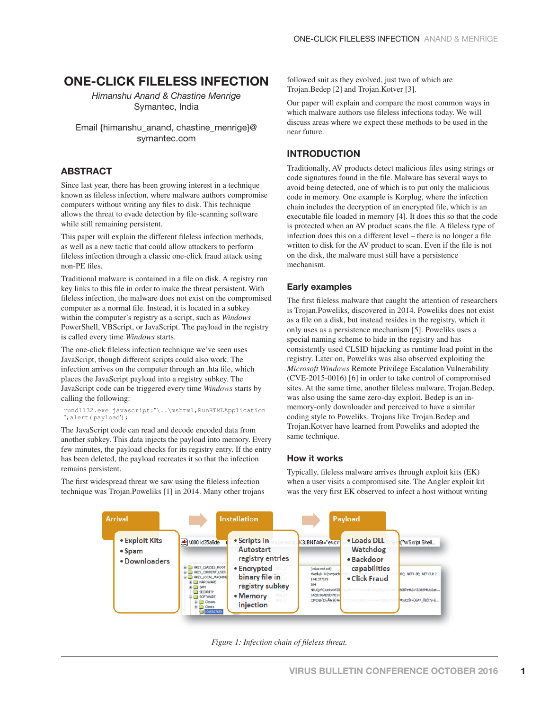# **ONE-CLICK FILELESS INFECTION**

*Himanshu Anand & Chastine Menrige*  Symantec, India

Email {himanshu\_anand, chastine\_menrige}@ symantec.com

### **ABSTRACT**

Since last year, there has been growing interest in a technique known as fileless infection, where malware authors compromise computers without writing any files to disk. This technique allows the threat to evade detection by file-scanning software while still remaining persistent.

This paper will explain the different fileless infection methods, as well as a new tactic that could allow attackers to perform fileless infection through a classic one-click fraud attack using non-PE files.

Traditional malware is contained in a file on disk. A registry run key links to this file in order to make the threat persistent. With fileless infection, the malware does not exist on the compromised computer as a normal file. Instead, it is located in a subkey within the computer's registry as a script, such as *Windows* PowerShell, VBScript, or JavaScript. The payload in the registry is called every time *Windows* starts.

The one-click fileless infection technique we've seen uses JavaScript, though different scripts could also work. The infection arrives on the computer through an .hta file, which places the JavaScript payload into a registry subkey. The JavaScript code can be triggered every time *Windows* starts by calling the following:

#### rundll32.exe javascript:"\..\mshtml,RunHTMLApplication ";alert('payload');

The JavaScript code can read and decode encoded data from another subkey. This data injects the payload into memory. Every few minutes, the payload checks for its registry entry. If the entry has been deleted, the payload recreates it so that the infection remains persistent.

The first widespread threat we saw using the fileless infection technique was Trojan.Poweliks [1] in 2014. Many other trojans followed suit as they evolved, just two of which are Trojan.Bedep [2] and Trojan.Kotver [3].

Our paper will explain and compare the most common ways in which malware authors use fileless infections today. We will discuss areas where we expect these methods to be used in the near future.

### **INTRODUCTION**

Traditionally, AV products detect malicious files using strings or code signatures found in the file. Malware has several ways to avoid being detected, one of which is to put only the malicious code in memory. One example is Korplug, where the infection chain includes the decryption of an encrypted file, which is an executable file loaded in memory [4]. It does this so that the code is protected when an AV product scans the file. A fileless type of infection does this on a different level – there is no longer a file written to disk for the AV product to scan. Even if the file is not on the disk, the malware must still have a persistence mechanism.

### **Early examples**

The first fileless malware that caught the attention of researchers is Trojan.Poweliks, discovered in 2014. Poweliks does not exist as a file on a disk, but instead resides in the registry, which it only uses as a persistence mechanism [5]. Poweliks uses a special naming scheme to hide in the registry and has consistently used CLSID hijacking as runtime load point in the registry. Later on, Poweliks was also observed exploiting the *Microsoft Windows* Remote Privilege Escalation Vulnerability (CVE-2015-0016) [6] in order to take control of compromised sites. At the same time, another fileless malware, Trojan.Bedep, was also using the same zero-day exploit. Bedep is an inmemory-only downloader and perceived to have a similar coding style to Poweliks. Trojans like Trojan.Bedep and Trojan.Kotver have learned from Poweliks and adopted the same technique.

### **How it works**

Typically, fileless malware arrives through exploit kits (EK) when a user visits a compromised site. The Angler exploit kit was the very first EK observed to infect a host without writing



*Figure 1: Infection chain of fileless threat.*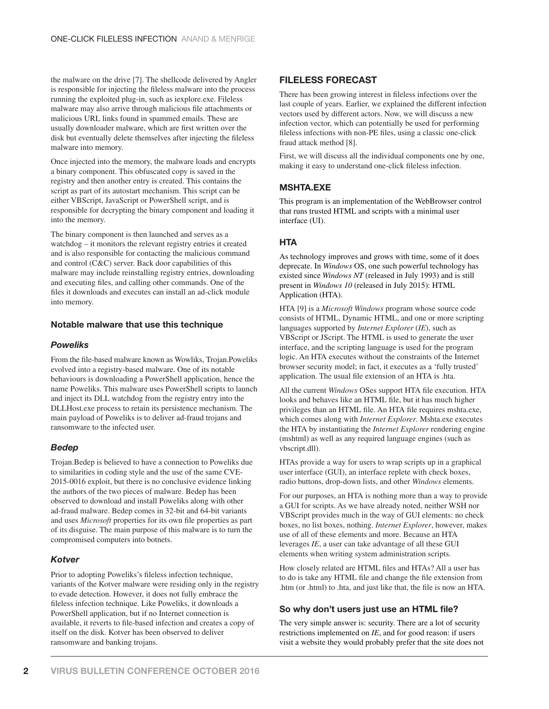the malware on the drive [7]. The shellcode delivered by Angler is responsible for injecting the fileless malware into the process running the exploited plug-in, such as iexplore.exe. Fileless malware may also arrive through malicious file attachments or malicious URL links found in spammed emails. These are usually downloader malware, which are first written over the disk but eventually delete themselves after injecting the fileless malware into memory.

Once injected into the memory, the malware loads and encrypts a binary component. This obfuscated copy is saved in the registry and then another entry is created. This contains the script as part of its autostart mechanism. This script can be either VBScript, JavaScript or PowerShell script, and is responsible for decrypting the binary component and loading it into the memory.

The binary component is then launched and serves as a watchdog – it monitors the relevant registry entries it created and is also responsible for contacting the malicious command and control (C&C) server. Back door capabilities of this malware may include reinstalling registry entries, downloading and executing files, and calling other commands. One of the files it downloads and executes can install an ad-click module into memory.

### **Notable malware that use this technique**

### *Poweliks*

From the file-based malware known as Wowliks, Trojan.Poweliks evolved into a registry-based malware. One of its notable behaviours is downloading a PowerShell application, hence the name Poweliks. This malware uses PowerShell scripts to launch and inject its DLL watchdog from the registry entry into the DLLHost.exe process to retain its persistence mechanism. The main payload of Poweliks is to deliver ad-fraud trojans and ransomware to the infected user.

### *Bedep*

Trojan.Bedep is believed to have a connection to Poweliks due to similarities in coding style and the use of the same CVE-2015-0016 exploit, but there is no conclusive evidence linking the authors of the two pieces of malware. Bedep has been observed to download and install Poweliks along with other ad-fraud malware. Bedep comes in 32-bit and 64-bit variants and uses *Microsoft* properties for its own file properties as part of its disguise. The main purpose of this malware is to turn the compromised computers into botnets.

### *Kotver*

Prior to adopting Poweliks's fileless infection technique, variants of the Kotver malware were residing only in the registry to evade detection. However, it does not fully embrace the fileless infection technique. Like Poweliks, it downloads a PowerShell application, but if no Internet connection is available, it reverts to file-based infection and creates a copy of itself on the disk. Kotver has been observed to deliver ransomware and banking trojans.

### **FILELESS FORECAST**

There has been growing interest in fileless infections over the last couple of years. Earlier, we explained the different infection vectors used by different actors. Now, we will discuss a new infection vector, which can potentially be used for performing fileless infections with non-PE files, using a classic one-click fraud attack method [8].

First, we will discuss all the individual components one by one, making it easy to understand one-click fileless infection.

## **MSHTA.EXE**

This program is an implementation of the WebBrowser control that runs trusted HTML and scripts with a minimal user interface (UI).

### **HTA**

As technology improves and grows with time, some of it does deprecate. In *Windows* OS, one such powerful technology has existed since *Windows NT* (released in July 1993) and is still present in *Windows 10* (released in July 2015): HTML Application (HTA).

HTA [9] is a *Microsoft Windows* program whose source code consists of HTML, Dynamic HTML, and one or more scripting languages supported by *Internet Explorer* (*IE*), such as VBScript or JScript. The HTML is used to generate the user interface, and the scripting language is used for the program logic. An HTA executes without the constraints of the Internet browser security model; in fact, it executes as a 'fully trusted' application. The usual file extension of an HTA is .hta.

All the current *Windows* OSes support HTA file execution. HTA looks and behaves like an HTML file, but it has much higher privileges than an HTML file. An HTA file requires mshta.exe, which comes along with *Internet Explorer*. Mshta.exe executes the HTA by instantiating the *Internet Explorer* rendering engine (mshtml) as well as any required language engines (such as vbscript.dll).

HTAs provide a way for users to wrap scripts up in a graphical user interface (GUI), an interface replete with check boxes, radio buttons, drop-down lists, and other *Windows* elements.

For our purposes, an HTA is nothing more than a way to provide a GUI for scripts. As we have already noted, neither WSH nor VBScript provides much in the way of GUI elements: no check boxes, no list boxes, nothing. *Internet Explorer*, however, makes use of all of these elements and more. Because an HTA leverages *IE*, a user can take advantage of all these GUI elements when writing system administration scripts.

How closely related are HTML files and HTAs? All a user has to do is take any HTML file and change the file extension from .htm (or .html) to .hta, and just like that, the file is now an HTA.

### So why don't users just use an HTML file?

The very simple answer is: security. There are a lot of security restrictions implemented on *IE*, and for good reason: if users visit a website they would probably prefer that the site does not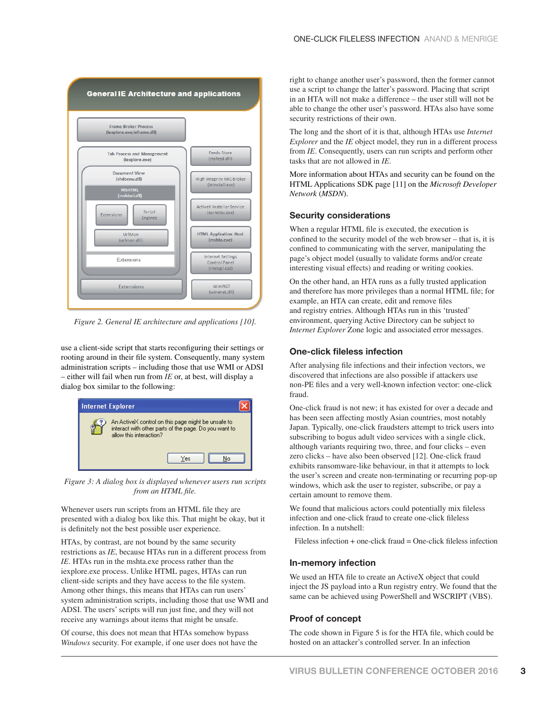

*Figure 2. General IE architecture and applications [10].* 

use a client-side script that starts reconfiguring their settings or rooting around in their file system. Consequently, many system administration scripts – including those that use WMI or ADSI – either will fail when run from *IE* or, at best, will display a dialog box similar to the following:



*Figure 3: A dialog box is displayed whenever users run scripts from an HTML file.* 

Whenever users run scripts from an HTML file they are presented with a dialog box like this. That might be okay, but it is definitely not the best possible user experience.

HTAs, by contrast, are not bound by the same security restrictions as *IE*, because HTAs run in a different process from *IE*. HTAs run in the mshta.exe process rather than the iexplore.exe process. Unlike HTML pages, HTAs can run client-side scripts and they have access to the file system. Among other things, this means that HTAs can run users' system administration scripts, including those that use WMI and ADSI. The users' scripts will run just fine, and they will not receive any warnings about items that might be unsafe.

Of course, this does not mean that HTAs somehow bypass *Windows* security. For example, if one user does not have the right to change another user's password, then the former cannot use a script to change the latter's password. Placing that script in an HTA will not make a difference – the user still will not be able to change the other user's password. HTAs also have some security restrictions of their own.

The long and the short of it is that, although HTAs use *Internet Explorer* and the *IE* object model, they run in a different process from *IE*. Consequently, users can run scripts and perform other tasks that are not allowed in *IE*.

More information about HTAs and security can be found on the HTML Applications SDK page [11] on the *Microsoft Developer Network* (*MSDN*).

### **Security considerations**

When a regular HTML file is executed, the execution is confined to the security model of the web browser – that is, it is confined to communicating with the server, manipulating the page's object model (usually to validate forms and/or create interesting visual effects) and reading or writing cookies.

On the other hand, an HTA runs as a fully trusted application and therefore has more privileges than a normal HTML file; for example, an HTA can create, edit and remove files and registry entries. Although HTAs run in this 'trusted' environment, querying Active Directory can be subject to *Internet Explorer* Zone logic and associated error messages.

### **One-click fileless infection**

After analysing file infections and their infection vectors, we discovered that infections are also possible if attackers use non-PE files and a very well-known infection vector: one-click fraud.

One-click fraud is not new; it has existed for over a decade and has been seen affecting mostly Asian countries, most notably Japan. Typically, one-click fraudsters attempt to trick users into subscribing to bogus adult video services with a single click, although variants requiring two, three, and four clicks – even zero clicks – have also been observed [12]. One-click fraud exhibits ransomware-like behaviour, in that it attempts to lock the user's screen and create non-terminating or recurring pop-up windows, which ask the user to register, subscribe, or pay a certain amount to remove them.

We found that malicious actors could potentially mix fileless infection and one-click fraud to create one-click fileless infection. In a nutshell:

Fileless infection  $+$  one-click fraud  $=$  One-click fileless infection

#### **In-memory infection**

We used an HTA file to create an ActiveX object that could inject the JS payload into a Run registry entry. We found that the same can be achieved using PowerShell and WSCRIPT (VBS).

### **Proof of concept**

The code shown in Figure 5 is for the HTA file, which could be hosted on an attacker's controlled server. In an infection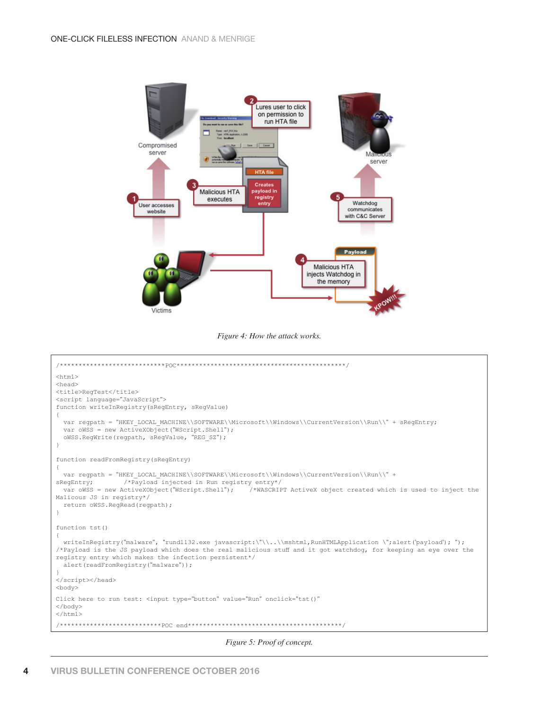

*Figure 4: How the attack works.*



*Figure 5: Proof of concept.*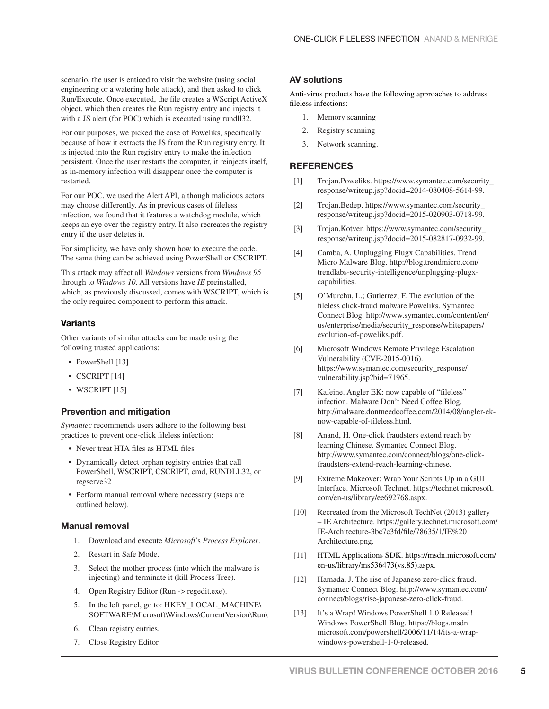scenario, the user is enticed to visit the website (using social engineering or a watering hole attack), and then asked to click Run/Execute. Once executed, the file creates a WScript ActiveX object, which then creates the Run registry entry and injects it with a JS alert (for POC) which is executed using rundll32.

For our purposes, we picked the case of Poweliks, specifically because of how it extracts the JS from the Run registry entry. It is injected into the Run registry entry to make the infection persistent. Once the user restarts the computer, it reinjects itself, as in-memory infection will disappear once the computer is restarted.

For our POC, we used the Alert API, although malicious actors may choose differently. As in previous cases of fileless infection, we found that it features a watchdog module, which keeps an eye over the registry entry. It also recreates the registry entry if the user deletes it.

For simplicity, we have only shown how to execute the code. The same thing can be achieved using PowerShell or CSCRIPT.

This attack may affect all *Windows* versions from *Windows 95*  through to *Windows 10*. All versions have *IE* preinstalled, which, as previously discussed, comes with WSCRIPT, which is the only required component to perform this attack.

### **Variants**

Other variants of similar attacks can be made using the following trusted applications:

- PowerShell [13]
- CSCRIPT [14]
- WSCRIPT [15]

### **Prevention and mitigation**

*Symantec* recommends users adhere to the following best practices to prevent one-click fileless infection:

- Never treat HTA files as HTML files
- Dynamically detect orphan registry entries that call PowerShell, WSCRIPT, CSCRIPT, cmd, RUNDLL32, or regserve32
- Perform manual removal where necessary (steps are outlined below).

### **Manual removal**

- 1. Download and execute *Microsoft*'s *Process Explorer*.
- 2. Restart in Safe Mode.
- 3. Select the mother process (into which the malware is injecting) and terminate it (kill Process Tree).
- 4. Open Registry Editor (Run -> regedit.exe).
- 5. In the left panel, go to: HKEY\_LOCAL\_MACHINE\ SOFTWARE\Microsoft\Windows\CurrentVersion\Run\
- 6. Clean registry entries.
- 7. Close Registry Editor.

#### **AV solutions**

Anti-virus products have the following approaches to address fileless infections:

- 1. Memory scanning
- 2. Registry scanning
- 3. Network scanning.

### **REFERENCES**

- [1] Trojan.Poweliks. https://www.symantec.com/security\_ [response/writeup.jsp?docid=2014-080408-5614-99.](https://www.symantec.com/security_response/writeup.jsp?docid=2014-080408-5614-99)
- [2] Trojan.Bedep. https://www.symantec.com/security\_ [response/writeup.jsp?docid=2015-020903-0718-99.](https://www.symantec.com/security_response/writeup.jsp?docid=2015-020903-0718-99)
- [3] [Trojan.Kotver. https://www.symantec.com/security\\_](https://www.symantec.com/security_response/writeup.jsp?docid=2015-082817-0932-99) response/writeup.jsp?docid=2015-082817-0932-99.
- [4] Camba, A. Unplugging Plugx Capabilities. Trend [Micro Malware Blog. http://blog.trendmicro.com/](http://blog.trendmicro.com/trendlabs-security-intelligence/unplugging-plugx-capabilities) trendlabs-security-intelligence/unplugging-plugxcapabilities.
- [5] O'Murchu, L.; Gutierrez, F. The evolution of the fileless click-fraud malware Poweliks. Symantec [Connect Blog. http://www.symantec.com/content/en/](http://www.symantec.com/content/en/us/enterprise/media/security_response/whitepapers/evolution-of-poweliks.pdf) us/enterprise/media/security\_response/whitepapers/ evolution-of-poweliks.pdf.
- [6] Microsoft Windows Remote Privilege Escalation Vulnerability (CVE-2015-0016). [https://www.symantec.com/security\\_response/](https://www.symantec.com/security_response/vulnerability.jsp?bid=71965) vulnerability.jsp?bid=71965.
- [7] Kafeine. Angler EK: now capable of "fileless" infection. Malware Don't Need Coffee Blog. [http://malware.dontneedcoffee.com/2014/08/angler-ek](http://malware.dontneedcoffee.com/2014/08/angler-ek-now-capable-of-fileless.html)now-capable-of-fileless.html.
- [8] Anand, H. One-click fraudsters extend reach by learning Chinese. Symantec Connect Blog. [http://www.symantec.com/connect/blogs/one-click](http://www.symantec.com/connect/blogs/one-click-fraudsters-extend-reach-learning-chinese)fraudsters-extend-reach-learning-chinese.
- [9] Extreme Makeover: Wrap Your Scripts Up in a GUI [Interface. Microsoft Technet. https://technet.microsoft.](https://technet.microsoft.com/en-us/library/ee692768.aspx) com/en-us/library/ee692768.aspx.
- [10] Recreated from the Microsoft TechNet (2013) gallery [– IE Architecture. https://gallery.technet.microsoft.com/](https://gallery.technet.microsoft.com/IE-Architecture-3bc7c3fd/file/78635/1/IE%20Architecture.png) IE-Architecture-3bc7c3fd/fi le/78635/1/IE%20 Architecture.png.
- [11] [HTML Applications SDK. https://msdn.microsoft.com/](https://msdn.microsoft.com/en-us/library/ms536473(vs.85).aspx) en-us/library/ms536473(vs.85).aspx.
- [12] Hamada, J. The rise of Japanese zero-click fraud. [Symantec Connect Blog. http://www.symantec.com/](http://www.symantec.com/connect/blogs/rise-japanese-zero-click-fraud) connect/blogs/rise-japanese-zero-click-fraud.
- [13] It's a Wrap! Windows PowerShell 1.0 Released! Windows PowerShell Blog. https://blogs.msdn. [microsoft.com/powershell/2006/11/14/its-a-wrap](https://blogs.msdn.microsoft.com/powershell/2006/11/14/its-a-wrap-windows-powershell-1-0-released)windows-powershell-1-0-released.